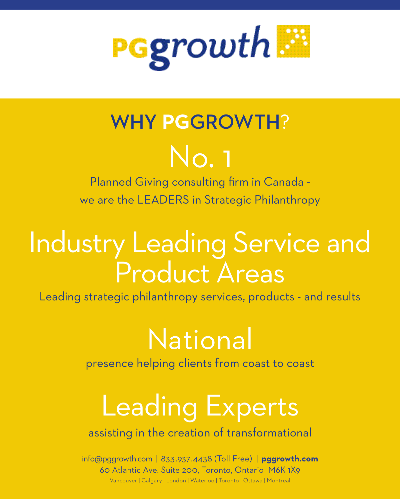

# WHY **PG**GROWTH?

# No. 1

Planned Giving consulting firm in Canada we are the LEADERS in Strategic Philanthropy

# Industry Leading Service and Product Areas

Leading strategic philanthropy services, products - and results

# National

presence helping clients from coast to coast

# Leading Experts

assisting in the creation of transformational

info@pggrowth.com | 833.937.4438 (Toll Free) | **pggrowth.com** 60 Atlantic Ave. Suite 200, Toronto, Ontario M6K 1X9 Vancouver | Calgary | London | Waterloo | Toronto | Ottawa | Montreal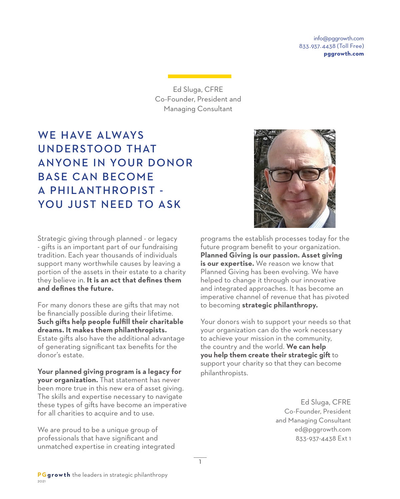info@pggrowth.com 833.937.4438 (Toll Free) **pggrowth.com**

Ed Sluga, CFRE Co-Founder, President and Managing Consultant

# WE HAVE AIWAYS UNDERSTOOD THAT ANYONE IN YOUR DONOR BASE CAN BECOME A PHILANTHROPIST - YOU JUST NEED TO ASK



Strategic giving through planned - or legacy - gifts is an important part of our fundraising tradition. Each year thousands of individuals support many worthwhile causes by leaving a portion of the assets in their estate to a charity they believe in. **It is an act that defines them and defines the future.**

For many donors these are gifts that may not be financially possible during their lifetime. **Such gifts help people fulfill their charitable dreams. It makes them philanthropists.** Estate gifts also have the additional advantage of generating significant tax benefits for the donor's estate.

**Your planned giving program is a legacy for your organization.** That statement has never been more true in this new era of asset giving. The skills and expertise necessary to navigate these types of gifts have become an imperative for all charities to acquire and to use.

We are proud to be a unique group of professionals that have significant and unmatched expertise in creating integrated programs the establish processes today for the future program benefit to your organization. **Planned Giving is our passion. Asset giving is our expertise.** We reason we know that Planned Giving has been evolving. We have helped to change it through our innovative and integrated approaches. It has become an imperative channel of revenue that has pivoted to becoming **strategic philanthropy.**

Your donors wish to support your needs so that your organization can do the work necessary to achieve your mission in the community, the country and the world. **We can help you help them create their strategic gift** to support your charity so that they can become philanthropists.

> Ed Sluga, CFRE Co-Founder, President and Managing Consultant ed@pggrowth.com 833-937-4438 Ext 1

1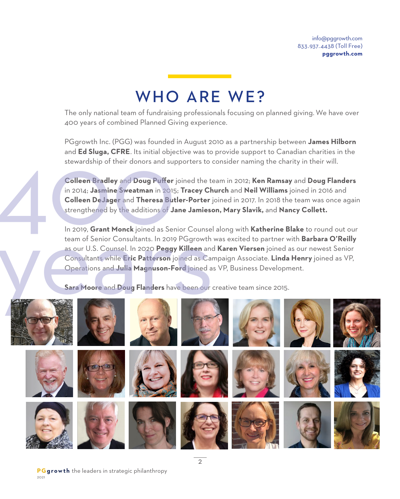# WHO ARE WE?

The only national team of fundraising professionals focusing on planned giving. We have over 400 years of combined Planned Giving experience.

PGgrowth Inc. (PGG) was founded in August 2010 as a partnership between **James Hilborn** and **Ed Sluga, CFRE**. Its initial objective was to provide support to Canadian charities in the stewardship of their donors and supporters to consider naming the charity in their will.

**Colleen Bradley** and **Doug Puffer** joined the team in 2012; **Ken Ramsay** and **Doug Flanders**  in 2014; **Jasmine Sweatman** in 2015; **Tracey Church** and **Neil Williams** joined in 2016 and **Colleen DeJager** and **Theresa Butler-Porter** joined in 2017. In 2018 the team was once again strengthened by the additions of **Jane Jamieson, Mary Slavik,** and **Nancy Collett.**  regrowmme: (i OG) was founded in Augu<br>and **Ed Sluga, CFRE**. Its initial objective was<br>stewardship of their donors and supporters<br>**Colleen Bradley** and **Doug Puffer** joined t<br>in 2014; **Jasmine Sweatman** in 2015; **Trace**<br>**Co** 

In 2019, **Grant Monck** joined as Senior Counsel along with **Katherine Blake** to round out our team of Senior Consultants. In 2019 PGgrowth was excited to partner with **Barbara O'Reilly**  as our U.S. Counsel. In 2020 **Peggy Killeen** and **Karen Viersen** joined as our newest Senior Consultants while **Eric Patterson** joined as Campaign Associate. **Linda Henry** joined as VP, Operations and **Julia Magnuson-Ford** joined as VP, Business Development. In 2019, Grant Monck joined as Senior Counsel<br>
team of Senior Consultants. In 2019 PGgrowth<br>
as our U.S. Counsel. In 2020 Peggy Killeen and<br>
Consultants while Eric Patterson joined as Can<br>
Operations and Julia Magnuson-For

**Sara Moore** and **Doug Flanders** have been our creative team since 2015.

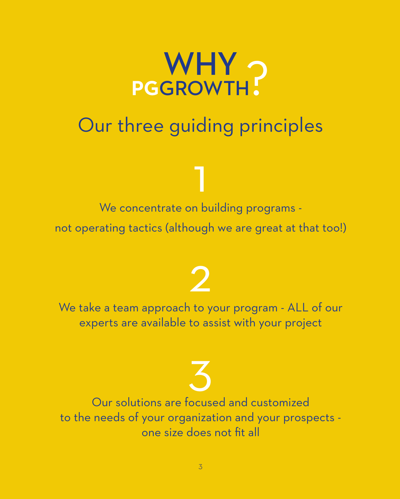

# Our three guiding principles

1 We concentrate on building programs -

not operating tactics (although we are great at that too!)

# $\bullet$

We take a team approach to your program - ALL of our experts are available to assist with your project

3 Our solutions are focused and customized to the needs of your organization and your prospects one size does not fit all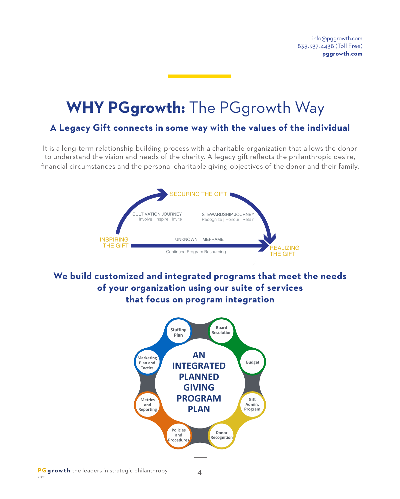# **WHY PGgrowth:** The PGgrowth Way

#### **A Legacy Gift connects in some way with the values of the individual**

It is a long-term relationship building process with a charitable organization that allows the donor to understand the vision and needs of the charity. A legacy gift reflects the philanthropic desire, financial circumstances and the personal charitable giving objectives of the donor and their family.



**We build customized and integrated programs that meet the needs of your organization using our suite of services that focus on program integration**

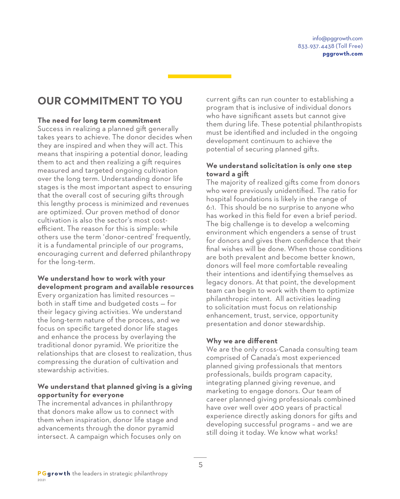# **OUR COMMITMENT TO YOU**

#### **The need for long term commitment**

Success in realizing a planned gift generally takes years to achieve. The donor decides when they are inspired and when they will act. This means that inspiring a potential donor, leading them to act and then realizing a gift requires measured and targeted ongoing cultivation over the long term. Understanding donor life stages is the most important aspect to ensuring that the overall cost of securing gifts through this lengthy process is minimized and revenues are optimized. Our proven method of donor cultivation is also the sector's most costefficient. The reason for this is simple: while others use the term 'donor-centred' frequently, it is a fundamental principle of our programs, encouraging current and deferred philanthropy for the long-term.

#### **We understand how to work with your development program and available resources**

Every organization has limited resources both in staff time and budgeted costs — for their legacy giving activities. We understand the long-term nature of the process, and we focus on specific targeted donor life stages and enhance the process by overlaying the traditional donor pyramid. We prioritize the relationships that are closest to realization, thus compressing the duration of cultivation and stewardship activities.

#### **We understand that planned giving is a giving opportunity for everyone**

The incremental advances in philanthropy that donors make allow us to connect with them when inspiration, donor life stage and advancements through the donor pyramid intersect. A campaign which focuses only on

current gifts can run counter to establishing a program that is inclusive of individual donors who have significant assets but cannot give them during life. These potential philanthropists must be identified and included in the ongoing development continuum to achieve the potential of securing planned gifts.

#### **We understand solicitation is only one step toward a gift**

The majority of realized gifts come from donors who were previously unidentified. The ratio for hospital foundations is likely in the range of 6:1. This should be no surprise to anyone who has worked in this field for even a brief period. The big challenge is to develop a welcoming environment which engenders a sense of trust for donors and gives them confidence that their final wishes will be done. When those conditions are both prevalent and become better known, donors will feel more comfortable revealing their intentions and identifying themselves as legacy donors. At that point, the development team can begin to work with them to optimize philanthropic intent. All activities leading to solicitation must focus on relationship enhancement, trust, service, opportunity presentation and donor stewardship.

#### **Why we are different**

We are the only cross-Canada consulting team comprised of Canada's most experienced planned giving professionals that mentors professionals, builds program capacity, integrating planned giving revenue, and marketing to engage donors. Our team of career planned giving professionals combined have over well over 400 years of practical experience directly asking donors for gifts and developing successful programs – and we are still doing it today. We know what works!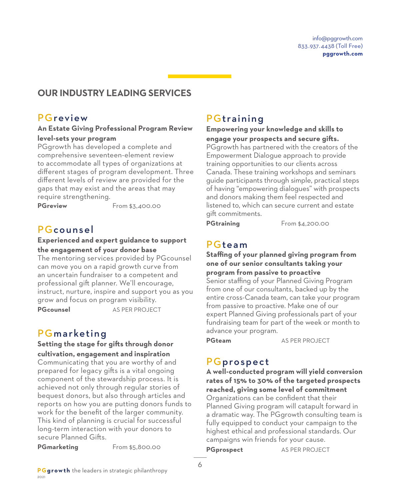## **OUR INDUSTRY LEADING SERVICES**

## **PGreview**

#### **An Estate Giving Professional Program Review level-sets your program**

PGgrowth has developed a complete and comprehensive seventeen-element review to accommodate all types of organizations at different stages of program development. Three different levels of review are provided for the gaps that may exist and the areas that may require strengthening.

**PGreview** From \$3,400.00

### PGcounsel

#### **Experienced and expert guidance to support the engagement of your donor base**

The mentoring services provided by PGcounsel can move you on a rapid growth curve from an uncertain fundraiser to a competent and professional gift planner. We'll encourage, instruct, nurture, inspire and support you as you grow and focus on program visibility. **PGcounsel** AS PER PROJECT

## **PGmarketing**

**Setting the stage for gifts through donor cultivation, engagement and inspiration**

Communicating that you are worthy of and prepared for legacy gifts is a vital ongoing component of the stewardship process. It is achieved not only through regular stories of bequest donors, but also through articles and reports on how you are putting donors funds to work for the benefit of the larger community. This kind of planning is crucial for successful long-term interaction with your donors to secure Planned Gifts.

**PGmarketing** From \$5,800.00

# **PGtraining**

#### **Empowering your knowledge and skills to engage your prospects and secure gifts.**

PGgrowth has partnered with the creators of the Empowerment Dialogue approach to provide training opportunities to our clients across Canada. These training workshops and seminars guide participants through simple, practical steps of having "empowering dialogues" with prospects and donors making them feel respected and listened to, which can secure current and estate gift commitments.

PGtraining From \$4,200.00

### PGteam

**Staffing of your planned giving program from one of our senior consultants taking your program from passive to proactive** Senior staffing of your Planned Giving Program from one of our consultants, backed up by the entire cross-Canada team, can take your program from passive to proactive. Make one of our expert Planned Giving professionals part of your fundraising team for part of the week or month to advance your program.

**PGteam** AS PER PROJECT

### PGprospect

**A well-conducted program will yield conversion rates of 15% to 30% of the targeted prospects reached, giving some level of commitment** Organizations can be confident that their Planned Giving program will catapult forward in a dramatic way. The PGgrowth consulting team is fully equipped to conduct your campaign to the highest ethical and professional standards. Our campaigns win friends for your cause.

**PGprospect** AS PER PROJECT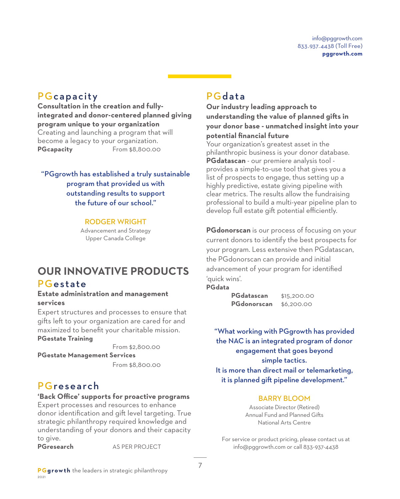### **PGcapacity**

**Consultation in the creation and fullyintegrated and donor-centered planned giving program unique to your organization** Creating and launching a program that will become a legacy to your organization. **PGcapacity** From \$8,800.00

"PGgrowth has established a truly sustainable program that provided us with outstanding results to support the future of our school."

#### RODGER WRIGHT

Advancement and Strategy Upper Canada College

# **OUR INNOVATIVE PRODUCTS**

#### PGestate

#### **Estate administration and management services**

Expert structures and processes to ensure that gifts left to your organization are cared for and maximized to benefit your charitable mission. **PGestate Training**

 From \$2,800.00 **PGestate Management Services** From \$8,800.00

#### PGresearch

#### **'Back Office' supports for proactive programs**

Expert processes and resources to enhance donor identification and gift level targeting. True strategic philanthropy required knowledge and understanding of your donors and their capacity to give.

**PGresearch** AS PER PROJECT

#### PGdata

**Our industry leading approach to understanding the value of planned gifts in your donor base - unmatched insight into your potential financial future**

Your organization's greatest asset in the philanthropic business is your donor database. **PGdatascan** - our premiere analysis tool provides a simple-to-use tool that gives you a list of prospects to engage, thus setting up a highly predictive, estate giving pipeline with clear metrics. The results allow the fundraising professional to build a multi-year pipeline plan to develop full estate gift potential efficiently.

**PGdonorscan** is our process of focusing on your current donors to identify the best prospects for your program. Less extensive then PGdatascan, the PGdonorscan can provide and initial advancement of your program for identified 'quick wins'. **PGdata**

> **PGdatascan** \$15,200.00 **PGdonorscan** \$6,200.00

"What working with PGgrowth has provided the NAC is an integrated program of donor engagement that goes beyond simple tactics. It is more than direct mail or telemarketing, it is planned gift pipeline development."

#### BARRY BLOOM

Associate Director (Retired) Annual Fund and Planned Gifts National Arts Centre

For service or product pricing, please contact us at info@pggrowth.com or call 833-937-4438